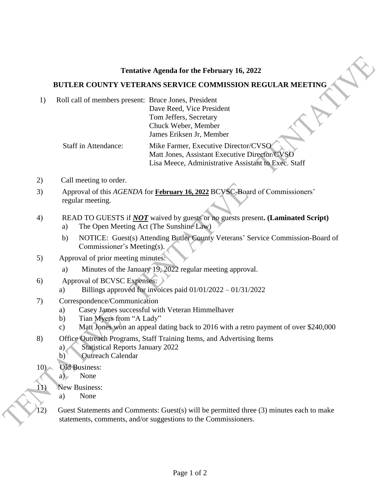## **Tentative Agenda for the February 16, 2022**

## **BUTLER COUNTY VETERANS SERVICE COMMISSION REGULAR MEETING**

1) Roll call of members present: Bruce Jones, President Dave Reed, Vice President Tom Jeffers, Secretary Chuck Weber, Member James Eriksen Jr, Member

> Staff in Attendance: Mike Farmer, Executive Director/CVSO Matt Jones, Assistant Executive Director/CVSO Lisa Meece, Administrative Assistant to Exec. Staff

- 2) Call meeting to order.
- 3) Approval of this *AGENDA* for **February 16, 2022** BCVSC-Board of Commissioners' regular meeting.
- 4) READ TO GUESTS if *NOT* waived by guests or no guests present**. (Laminated Script)**
	- a) The Open Meeting Act (The Sunshine Law)
	- b) NOTICE: Guest(s) Attending Butler County Veterans' Service Commission-Board of Commissioner's Meeting(s).
- 5) Approval of prior meeting minutes:
	- a) Minutes of the January 19, 2022 regular meeting approval.
- 6) Approval of BCVSC Expenses:
	- a) Billings approved for invoices paid  $01/01/2022 01/31/2022$
- 7) Correspondence/Communication
	- a) Casey James successful with Veteran Himmelhaver
	- b) Tian Myers from "A Lady"
	- c) Matt Jones won an appeal dating back to 2016 with a retro payment of over \$240,000
- 8) Office Outreach Programs, Staff Training Items, and Advertising Items
	- a) Statistical Reports January 2022
	- b) Outreach Calendar
- 10) Old Business:

 $\overline{\phantom{a}}$ 

- a) None
- 11) New Business:
	- a) None
- 12) Guest Statements and Comments: Guest(s) will be permitted three (3) minutes each to make statements, comments, and/or suggestions to the Commissioners.